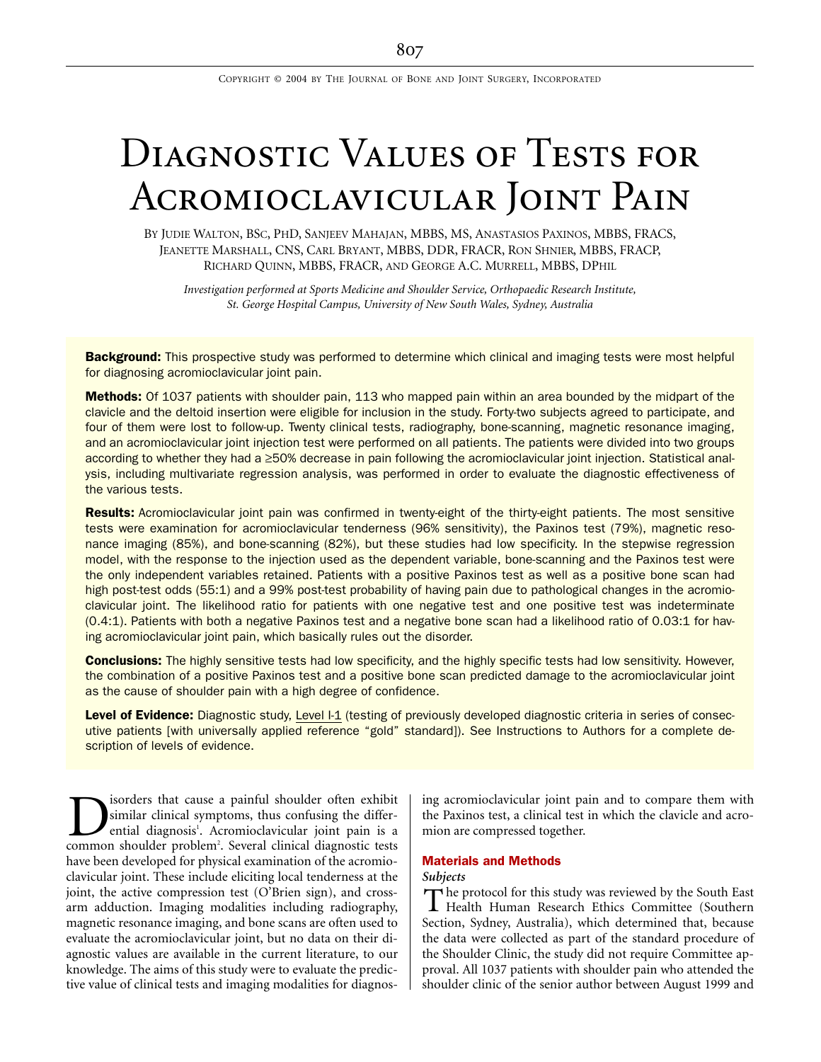COPYRIGHT © 2004 BY THE JOURNAL OF BONE AND JOINT SURGERY, INCORPORATED

# DIAGNOSTIC VALUES OF TESTS FOR Acromioclavicular Joint Pain

BY JUDIE WALTON, BSC, PHD, SANJEEV MAHAJAN, MBBS, MS, ANASTASIOS PAXINOS, MBBS, FRACS, JEANETTE MARSHALL, CNS, CARL BRYANT, MBBS, DDR, FRACR, RON SHNIER, MBBS, FRACP, RICHARD QUINN, MBBS, FRACR, AND GEORGE A.C. MURRELL, MBBS, DPHIL

*Investigation performed at Sports Medicine and Shoulder Service, Orthopaedic Research Institute, St. George Hospital Campus, University of New South Wales, Sydney, Australia*

Background: This prospective study was performed to determine which clinical and imaging tests were most helpful for diagnosing acromioclavicular joint pain.

Methods: Of 1037 patients with shoulder pain, 113 who mapped pain within an area bounded by the midpart of the clavicle and the deltoid insertion were eligible for inclusion in the study. Forty-two subjects agreed to participate, and four of them were lost to follow-up. Twenty clinical tests, radiography, bone-scanning, magnetic resonance imaging, and an acromioclavicular joint injection test were performed on all patients. The patients were divided into two groups according to whether they had a ≥50% decrease in pain following the acromioclavicular joint injection. Statistical analysis, including multivariate regression analysis, was performed in order to evaluate the diagnostic effectiveness of the various tests.

Results: Acromioclavicular joint pain was confirmed in twenty-eight of the thirty-eight patients. The most sensitive tests were examination for acromioclavicular tenderness (96% sensitivity), the Paxinos test (79%), magnetic resonance imaging (85%), and bone-scanning (82%), but these studies had low specificity. In the stepwise regression model, with the response to the injection used as the dependent variable, bone-scanning and the Paxinos test were the only independent variables retained. Patients with a positive Paxinos test as well as a positive bone scan had high post-test odds (55:1) and a 99% post-test probability of having pain due to pathological changes in the acromioclavicular joint. The likelihood ratio for patients with one negative test and one positive test was indeterminate (0.4:1). Patients with both a negative Paxinos test and a negative bone scan had a likelihood ratio of 0.03:1 for having acromioclavicular joint pain, which basically rules out the disorder.

**Conclusions:** The highly sensitive tests had low specificity, and the highly specific tests had low sensitivity. However, the combination of a positive Paxinos test and a positive bone scan predicted damage to the acromioclavicular joint as the cause of shoulder pain with a high degree of confidence.

Level of Evidence: Diagnostic study, Level I-1 (testing of previously developed diagnostic criteria in series of consecutive patients [with universally applied reference "gold" standard]). See Instructions to Authors for a complete description of levels of evidence.

isorders that cause a painful shoulder often exhibit similar clinical symptoms, thus confusing the differential diagnosis<sup>1</sup>. Acromioclavicular joint pain is a **Common** shoulder sthat cause a painful shoulder often exhibit similar clinical symptoms, thus confusing the differential diagnosis'. Acromioclavicular joint pain is a common shoulder problem<sup>2</sup>. Several clinical diagnosti have been developed for physical examination of the acromioclavicular joint. These include eliciting local tenderness at the joint, the active compression test (O'Brien sign), and crossarm adduction. Imaging modalities including radiography, magnetic resonance imaging, and bone scans are often used to evaluate the acromioclavicular joint, but no data on their diagnostic values are available in the current literature, to our knowledge. The aims of this study were to evaluate the predictive value of clinical tests and imaging modalities for diagnos-

ing acromioclavicular joint pain and to compare them with the Paxinos test, a clinical test in which the clavicle and acromion are compressed together.

# Materials and Methods

# *Subjects*

The protocol for this study was reviewed by the South East<br>Health Human Research Ethics Committee (Southern Health Human Research Ethics Committee (Southern Section, Sydney, Australia), which determined that, because the data were collected as part of the standard procedure of the Shoulder Clinic, the study did not require Committee approval. All 1037 patients with shoulder pain who attended the shoulder clinic of the senior author between August 1999 and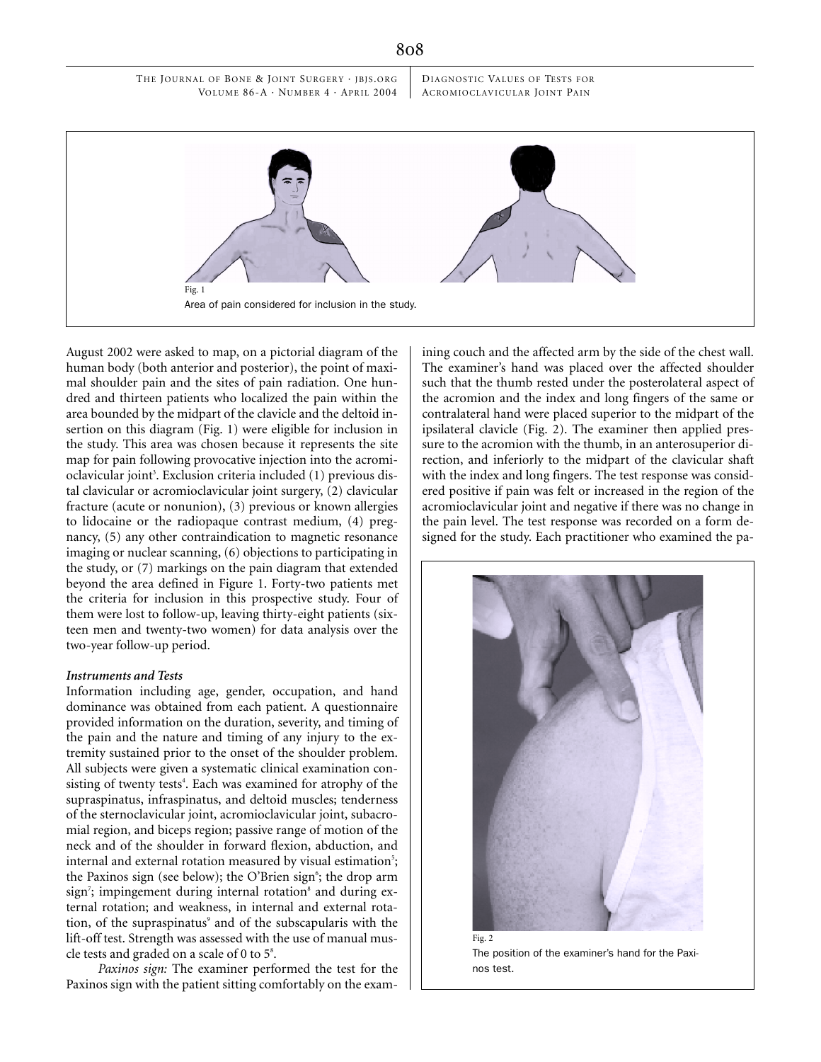THE JOURNAL OF BONE & JOINT SURGERY · IBIS.ORG VOLUME 86-A · NUMBER 4 · APRIL 2004 DIAGNOSTIC VALUES OF TESTS FOR ACROMIOCLAVICULAR JOINT PAIN



August 2002 were asked to map, on a pictorial diagram of the human body (both anterior and posterior), the point of maximal shoulder pain and the sites of pain radiation. One hundred and thirteen patients who localized the pain within the area bounded by the midpart of the clavicle and the deltoid insertion on this diagram (Fig. 1) were eligible for inclusion in the study. This area was chosen because it represents the site map for pain following provocative injection into the acromioclavicular joint<sup>3</sup>. Exclusion criteria included (1) previous distal clavicular or acromioclavicular joint surgery, (2) clavicular fracture (acute or nonunion), (3) previous or known allergies to lidocaine or the radiopaque contrast medium, (4) pregnancy, (5) any other contraindication to magnetic resonance imaging or nuclear scanning, (6) objections to participating in the study, or (7) markings on the pain diagram that extended beyond the area defined in Figure 1. Forty-two patients met the criteria for inclusion in this prospective study. Four of them were lost to follow-up, leaving thirty-eight patients (sixteen men and twenty-two women) for data analysis over the two-year follow-up period.

# *Instruments and Tests*

Information including age, gender, occupation, and hand dominance was obtained from each patient. A questionnaire provided information on the duration, severity, and timing of the pain and the nature and timing of any injury to the extremity sustained prior to the onset of the shoulder problem. All subjects were given a systematic clinical examination consisting of twenty tests<sup>4</sup>. Each was examined for atrophy of the supraspinatus, infraspinatus, and deltoid muscles; tenderness of the sternoclavicular joint, acromioclavicular joint, subacromial region, and biceps region; passive range of motion of the neck and of the shoulder in forward flexion, abduction, and internal and external rotation measured by visual estimation<sup>5</sup>; the Paxinos sign (see below); the O'Brien sign<sup>6</sup>; the drop arm sign<sup>7</sup>; impingement during internal rotation<sup>8</sup> and during external rotation; and weakness, in internal and external rotation, of the supraspinatus<sup>9</sup> and of the subscapularis with the lift-off test. Strength was assessed with the use of manual muscle tests and graded on a scale of  $0$  to  $5^{\circ}$ .

*Paxinos sign:* The examiner performed the test for the Paxinos sign with the patient sitting comfortably on the examining couch and the affected arm by the side of the chest wall. The examiner's hand was placed over the affected shoulder such that the thumb rested under the posterolateral aspect of the acromion and the index and long fingers of the same or contralateral hand were placed superior to the midpart of the ipsilateral clavicle (Fig. 2). The examiner then applied pressure to the acromion with the thumb, in an anterosuperior direction, and inferiorly to the midpart of the clavicular shaft with the index and long fingers. The test response was considered positive if pain was felt or increased in the region of the acromioclavicular joint and negative if there was no change in the pain level. The test response was recorded on a form designed for the study. Each practitioner who examined the pa-



The position of the examiner's hand for the Paxinos test.

#### 808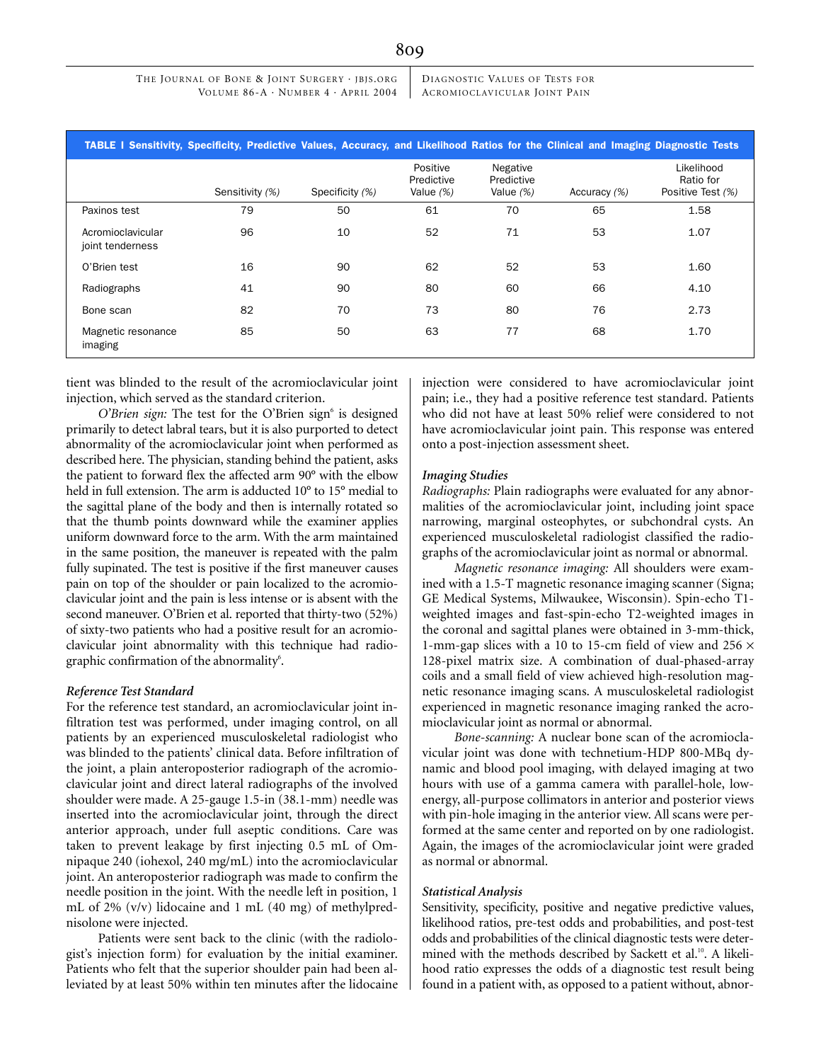THE JOURNAL OF BONE & JOINT SURGERY · IBIS.ORG VOLUME 86-A · NUMBER 4 · APRIL 2004 DIAGNOSTIC VALUES OF TESTS FOR ACROMIOCLAVICULAR JOINT PAIN

|                                       | TABLE I Sensitivity, Specificity, Predictive Values, Accuracy, and Likelihood Ratios for the Clinical and Imaging Diagnostic Tests |                 |                                       |                                       |              |                                              |
|---------------------------------------|------------------------------------------------------------------------------------------------------------------------------------|-----------------|---------------------------------------|---------------------------------------|--------------|----------------------------------------------|
|                                       | Sensitivity (%)                                                                                                                    | Specificity (%) | Positive<br>Predictive<br>Value $(%)$ | Negative<br>Predictive<br>Value $(%)$ | Accuracy (%) | Likelihood<br>Ratio for<br>Positive Test (%) |
| Paxinos test                          | 79                                                                                                                                 | 50              | 61                                    | 70                                    | 65           | 1.58                                         |
| Acromioclavicular<br>joint tenderness | 96                                                                                                                                 | 10              | 52                                    | 71                                    | 53           | 1.07                                         |
| O'Brien test                          | 16                                                                                                                                 | 90              | 62                                    | 52                                    | 53           | 1.60                                         |
| Radiographs                           | 41                                                                                                                                 | 90              | 80                                    | 60                                    | 66           | 4.10                                         |
| Bone scan                             | 82                                                                                                                                 | 70              | 73                                    | 80                                    | 76           | 2.73                                         |
| Magnetic resonance<br>imaging         | 85                                                                                                                                 | 50              | 63                                    | 77                                    | 68           | 1.70                                         |

tient was blinded to the result of the acromioclavicular joint injection, which served as the standard criterion.

O'Brien sign: The test for the O'Brien sign<sup>6</sup> is designed primarily to detect labral tears, but it is also purported to detect abnormality of the acromioclavicular joint when performed as described here. The physician, standing behind the patient, asks the patient to forward flex the affected arm 90° with the elbow held in full extension. The arm is adducted 10° to 15° medial to the sagittal plane of the body and then is internally rotated so that the thumb points downward while the examiner applies uniform downward force to the arm. With the arm maintained in the same position, the maneuver is repeated with the palm fully supinated. The test is positive if the first maneuver causes pain on top of the shoulder or pain localized to the acromioclavicular joint and the pain is less intense or is absent with the second maneuver. O'Brien et al. reported that thirty-two (52%) of sixty-two patients who had a positive result for an acromioclavicular joint abnormality with this technique had radiographic confirmation of the abnormality $\delta$ .

# *Reference Test Standard*

For the reference test standard, an acromioclavicular joint infiltration test was performed, under imaging control, on all patients by an experienced musculoskeletal radiologist who was blinded to the patients' clinical data. Before infiltration of the joint, a plain anteroposterior radiograph of the acromioclavicular joint and direct lateral radiographs of the involved shoulder were made. A 25-gauge 1.5-in (38.1-mm) needle was inserted into the acromioclavicular joint, through the direct anterior approach, under full aseptic conditions. Care was taken to prevent leakage by first injecting 0.5 mL of Omnipaque 240 (iohexol, 240 mg/mL) into the acromioclavicular joint. An anteroposterior radiograph was made to confirm the needle position in the joint. With the needle left in position, 1 mL of 2% (v/v) lidocaine and 1 mL (40 mg) of methylprednisolone were injected.

Patients were sent back to the clinic (with the radiologist's injection form) for evaluation by the initial examiner. Patients who felt that the superior shoulder pain had been alleviated by at least 50% within ten minutes after the lidocaine injection were considered to have acromioclavicular joint pain; i.e., they had a positive reference test standard. Patients who did not have at least 50% relief were considered to not have acromioclavicular joint pain. This response was entered onto a post-injection assessment sheet.

#### *Imaging Studies*

*Radiographs:* Plain radiographs were evaluated for any abnormalities of the acromioclavicular joint, including joint space narrowing, marginal osteophytes, or subchondral cysts. An experienced musculoskeletal radiologist classified the radiographs of the acromioclavicular joint as normal or abnormal.

*Magnetic resonance imaging:* All shoulders were examined with a 1.5-T magnetic resonance imaging scanner (Signa; GE Medical Systems, Milwaukee, Wisconsin). Spin-echo T1 weighted images and fast-spin-echo T2-weighted images in the coronal and sagittal planes were obtained in 3-mm-thick, 1-mm-gap slices with a 10 to 15-cm field of view and 256  $\times$ 128-pixel matrix size. A combination of dual-phased-array coils and a small field of view achieved high-resolution magnetic resonance imaging scans. A musculoskeletal radiologist experienced in magnetic resonance imaging ranked the acromioclavicular joint as normal or abnormal.

*Bone-scanning:* A nuclear bone scan of the acromioclavicular joint was done with technetium-HDP 800-MBq dynamic and blood pool imaging, with delayed imaging at two hours with use of a gamma camera with parallel-hole, lowenergy, all-purpose collimators in anterior and posterior views with pin-hole imaging in the anterior view. All scans were performed at the same center and reported on by one radiologist. Again, the images of the acromioclavicular joint were graded as normal or abnormal.

# *Statistical Analysis*

Sensitivity, specificity, positive and negative predictive values, likelihood ratios, pre-test odds and probabilities, and post-test odds and probabilities of the clinical diagnostic tests were determined with the methods described by Sackett et al.<sup>10</sup>. A likelihood ratio expresses the odds of a diagnostic test result being found in a patient with, as opposed to a patient without, abnor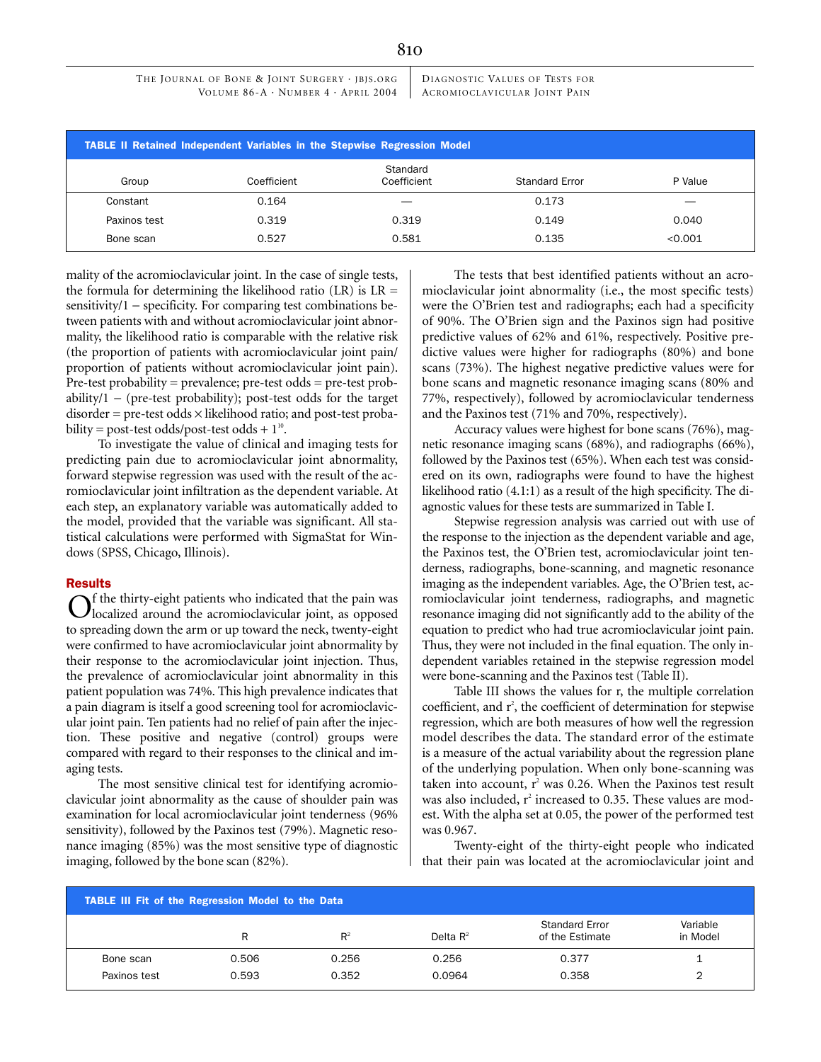THE JOURNAL OF BONE & JOINT SURGERY · IBIS.ORG VOLUME 86-A · NUMBER 4 · APRIL 2004 DIAGNOSTIC VALUES OF TESTS FOR ACROMIOCLAVICULAR JOINT PAIN

|              | <b>TABLE II Retained Independent Variables in the Stepwise Regression Model</b> |                         |                       |         |
|--------------|---------------------------------------------------------------------------------|-------------------------|-----------------------|---------|
| Group        | Coefficient                                                                     | Standard<br>Coefficient | <b>Standard Error</b> | P Value |
| Constant     | 0.164                                                                           |                         | 0.173                 |         |
| Paxinos test | 0.319                                                                           | 0.319                   | 0.149                 | 0.040   |
| Bone scan    | 0.527                                                                           | 0.581                   | 0.135                 | < 0.001 |

mality of the acromioclavicular joint. In the case of single tests, the formula for determining the likelihood ratio  $(LR)$  is  $LR =$ sensitivity/1 – specificity. For comparing test combinations between patients with and without acromioclavicular joint abnormality, the likelihood ratio is comparable with the relative risk (the proportion of patients with acromioclavicular joint pain/ proportion of patients without acromioclavicular joint pain). Pre-test probability = prevalence; pre-test odds = pre-test probability/1 − (pre-test probability); post-test odds for the target  $disorder = pre-test odds \times likelihood ratio; and post-test proba$ bility = post-test odds/post-test odds +  $1^{10}$ .

To investigate the value of clinical and imaging tests for predicting pain due to acromioclavicular joint abnormality, forward stepwise regression was used with the result of the acromioclavicular joint infiltration as the dependent variable. At each step, an explanatory variable was automatically added to the model, provided that the variable was significant. All statistical calculations were performed with SigmaStat for Windows (SPSS, Chicago, Illinois).

# **Results**

f the thirty-eight patients who indicated that the pain was  $\bigodot$  f the thirty-eight patients who indicated that the pain was localized around the acromioclavicular joint, as opposed to spreading down the arm or up toward the neck, twenty-eight were confirmed to have acromioclavicular joint abnormality by their response to the acromioclavicular joint injection. Thus, the prevalence of acromioclavicular joint abnormality in this patient population was 74%. This high prevalence indicates that a pain diagram is itself a good screening tool for acromioclavicular joint pain. Ten patients had no relief of pain after the injection. These positive and negative (control) groups were compared with regard to their responses to the clinical and imaging tests.

The most sensitive clinical test for identifying acromioclavicular joint abnormality as the cause of shoulder pain was examination for local acromioclavicular joint tenderness (96% sensitivity), followed by the Paxinos test (79%). Magnetic resonance imaging (85%) was the most sensitive type of diagnostic imaging, followed by the bone scan (82%).

The tests that best identified patients without an acromioclavicular joint abnormality (i.e., the most specific tests) were the O'Brien test and radiographs; each had a specificity of 90%. The O'Brien sign and the Paxinos sign had positive predictive values of 62% and 61%, respectively. Positive predictive values were higher for radiographs (80%) and bone scans (73%). The highest negative predictive values were for bone scans and magnetic resonance imaging scans (80% and 77%, respectively), followed by acromioclavicular tenderness and the Paxinos test (71% and 70%, respectively).

Accuracy values were highest for bone scans (76%), magnetic resonance imaging scans (68%), and radiographs (66%), followed by the Paxinos test (65%). When each test was considered on its own, radiographs were found to have the highest likelihood ratio (4.1:1) as a result of the high specificity. The diagnostic values for these tests are summarized in Table I.

Stepwise regression analysis was carried out with use of the response to the injection as the dependent variable and age, the Paxinos test, the O'Brien test, acromioclavicular joint tenderness, radiographs, bone-scanning, and magnetic resonance imaging as the independent variables. Age, the O'Brien test, acromioclavicular joint tenderness, radiographs, and magnetic resonance imaging did not significantly add to the ability of the equation to predict who had true acromioclavicular joint pain. Thus, they were not included in the final equation. The only independent variables retained in the stepwise regression model were bone-scanning and the Paxinos test (Table II).

Table III shows the values for r, the multiple correlation coefficient, and  $r^2$ , the coefficient of determination for stepwise regression, which are both measures of how well the regression model describes the data. The standard error of the estimate is a measure of the actual variability about the regression plane of the underlying population. When only bone-scanning was taken into account,  $r^2$  was 0.26. When the Paxinos test result was also included, r<sup>2</sup> increased to 0.35. These values are modest. With the alpha set at 0.05, the power of the performed test was 0.967.

Twenty-eight of the thirty-eight people who indicated that their pain was located at the acromioclavicular joint and

| TABLE III Fit of the Regression Model to the Data |       |       |             |                                          |                      |  |
|---------------------------------------------------|-------|-------|-------------|------------------------------------------|----------------------|--|
|                                                   | R     | $R^2$ | Delta $R^2$ | <b>Standard Error</b><br>of the Estimate | Variable<br>in Model |  |
| Bone scan                                         | 0.506 | 0.256 | 0.256       | 0.377                                    |                      |  |
| Paxinos test                                      | 0.593 | 0.352 | 0.0964      | 0.358                                    |                      |  |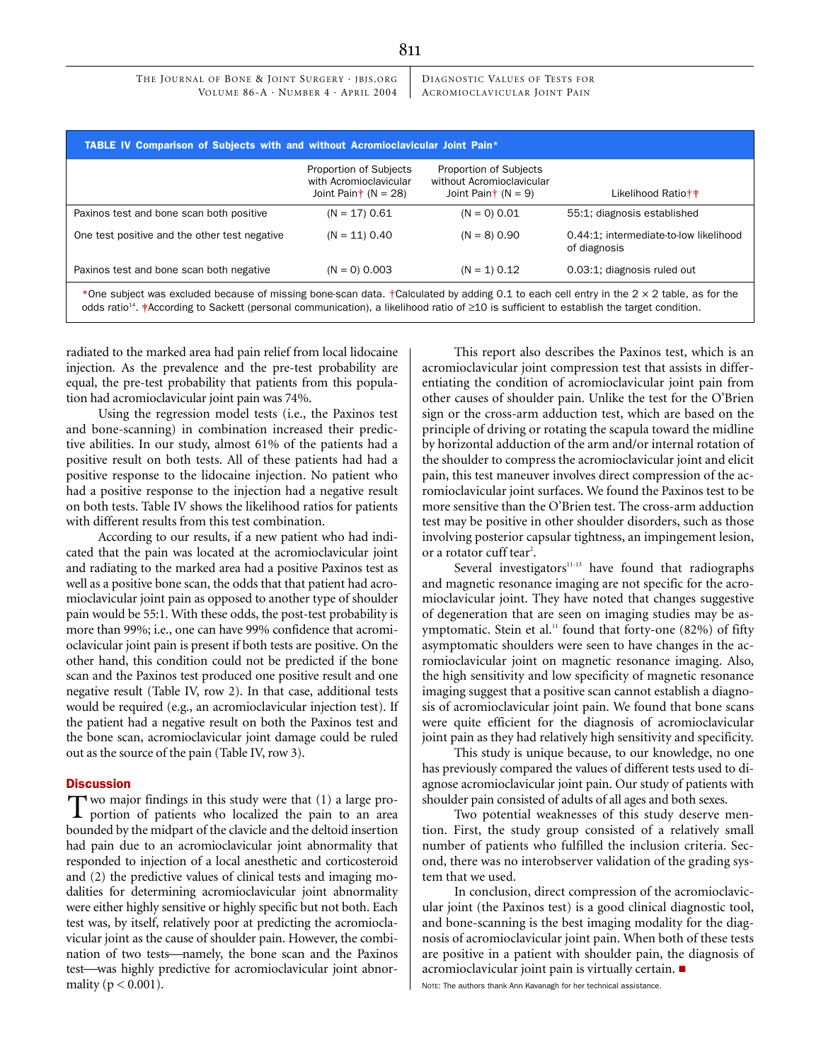DIAGNOSTIC VALUES OF TESTS FOR ACROMIOCLAVICULAR JOINT PAIN

| TABLE IV Comparison of Subjects with and without Acromioclavicular Joint Pain*                                                                                                                                                                                                                                              | <b>Proportion of Subjects</b><br>with Acromioclavicular | Proportion of Subjects<br>without Acromioclavicular |                                                        |
|-----------------------------------------------------------------------------------------------------------------------------------------------------------------------------------------------------------------------------------------------------------------------------------------------------------------------------|---------------------------------------------------------|-----------------------------------------------------|--------------------------------------------------------|
|                                                                                                                                                                                                                                                                                                                             | Joint Pain $\dagger$ (N = 28)                           | Joint Pain $\dagger$ (N = 9)                        | Likelihood Ratio++                                     |
| Paxinos test and bone scan both positive                                                                                                                                                                                                                                                                                    | $(N = 17) 0.61$                                         | $(N = 0) 0.01$                                      | 55:1; diagnosis established                            |
| One test positive and the other test negative                                                                                                                                                                                                                                                                               | $(N = 11) 0.40$                                         | $(N = 8) 0.90$                                      | 0.44:1: intermediate-to-low likelihood<br>of diagnosis |
| Paxinos test and bone scan both negative                                                                                                                                                                                                                                                                                    | $(N = 0) 0.003$                                         | $(N = 1) 0.12$                                      | 0.03:1; diagnosis ruled out                            |
| *One subject was excluded because of missing bone-scan data. †Calculated by adding 0.1 to each cell entry in the 2 $\times$ 2 table, as for the<br>odds ratio <sup>14</sup> . $\frac{1}{2}$ According to Sackett (personal communication), a likelihood ratio of $\geq$ 10 is sufficient to establish the target condition. |                                                         |                                                     |                                                        |

radiated to the marked area had pain relief from local lidocaine injection. As the prevalence and the pre-test probability are equal, the pre-test probability that patients from this population had acromioclavicular joint pain was 74%.

Using the regression model tests (i.e., the Paxinos test and bone-scanning) in combination increased their predictive abilities. In our study, almost 61% of the patients had a positive result on both tests. All of these patients had had a positive response to the lidocaine injection. No patient who had a positive response to the injection had a negative result on both tests. Table IV shows the likelihood ratios for patients with different results from this test combination.

According to our results, if a new patient who had indicated that the pain was located at the acromioclavicular joint and radiating to the marked area had a positive Paxinos test as well as a positive bone scan, the odds that that patient had acromioclavicular joint pain as opposed to another type of shoulder pain would be 55:1. With these odds, the post-test probability is more than 99%; i.e., one can have 99% confidence that acromioclavicular joint pain is present if both tests are positive. On the other hand, this condition could not be predicted if the bone scan and the Paxinos test produced one positive result and one negative result (Table IV, row 2). In that case, additional tests would be required (e.g., an acromioclavicular injection test). If the patient had a negative result on both the Paxinos test and the bone scan, acromioclavicular joint damage could be ruled out as the source of the pain (Table IV, row 3).

# **Discussion**

 $\rightarrow$  wo major findings in this study were that (1) a large proportion of patients who localized the pain to an area bounded by the midpart of the clavicle and the deltoid insertion had pain due to an acromioclavicular joint abnormality that responded to injection of a local anesthetic and corticosteroid and (2) the predictive values of clinical tests and imaging modalities for determining acromioclavicular joint abnormality were either highly sensitive or highly specific but not both. Each test was, by itself, relatively poor at predicting the acromioclavicular joint as the cause of shoulder pain. However, the combination of two tests—namely, the bone scan and the Paxinos test—was highly predictive for acromioclavicular joint abnormality ( $p < 0.001$ ). T

This report also describes the Paxinos test, which is an acromioclavicular joint compression test that assists in differentiating the condition of acromioclavicular joint pain from other causes of shoulder pain. Unlike the test for the O'Brien sign or the cross-arm adduction test, which are based on the principle of driving or rotating the scapula toward the midline by horizontal adduction of the arm and/or internal rotation of the shoulder to compress the acromioclavicular joint and elicit pain, this test maneuver involves direct compression of the acromioclavicular joint surfaces. We found the Paxinos test to be more sensitive than the O'Brien test. The cross-arm adduction test may be positive in other shoulder disorders, such as those involving posterior capsular tightness, an impingement lesion, or a rotator cuff tear<sup>2</sup>.

Several investigators $11-13$  have found that radiographs and magnetic resonance imaging are not specific for the acromioclavicular joint. They have noted that changes suggestive of degeneration that are seen on imaging studies may be asymptomatic. Stein et al.<sup>11</sup> found that forty-one (82%) of fifty asymptomatic shoulders were seen to have changes in the acromioclavicular joint on magnetic resonance imaging. Also, the high sensitivity and low specificity of magnetic resonance imaging suggest that a positive scan cannot establish a diagnosis of acromioclavicular joint pain. We found that bone scans were quite efficient for the diagnosis of acromioclavicular joint pain as they had relatively high sensitivity and specificity.

This study is unique because, to our knowledge, no one has previously compared the values of different tests used to diagnose acromioclavicular joint pain. Our study of patients with shoulder pain consisted of adults of all ages and both sexes.

Two potential weaknesses of this study deserve mention. First, the study group consisted of a relatively small number of patients who fulfilled the inclusion criteria. Second, there was no interobserver validation of the grading system that we used.

In conclusion, direct compression of the acromioclavicular joint (the Paxinos test) is a good clinical diagnostic tool, and bone-scanning is the best imaging modality for the diagnosis of acromioclavicular joint pain. When both of these tests are positive in a patient with shoulder pain, the diagnosis of acromioclavicular joint pain is virtually certain.

NOTE: The authors thank Ann Kavanagh for her technical assistance.